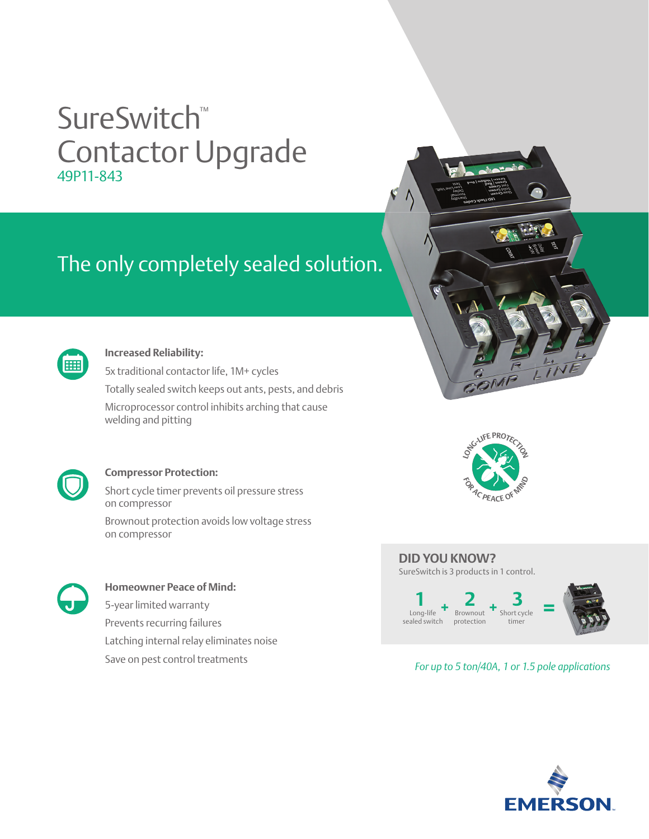## SureSwitch™ Contactor Upgrade 49P11-843

## The only completely sealed solution.



#### **Increased Reliability:**

5x traditional contactor life, 1M+ cycles Totally sealed switch keeps out ants, pests, and debris Microprocessor control inhibits arching that cause welding and pitting



#### **Compressor Protection:**

Short cycle timer prevents oil pressure stress on compressor

Brownout protection avoids low voltage stress on compressor



#### **Homeowner Peace of Mind:** 5-year limited warranty Prevents recurring failures

Latching internal relay eliminates noise

Save on pest control treatments





#### **DID YOU KNOW?**

SureSwitch is 3 products in 1 control.



#### *For up to 5 ton/40A, 1 or 1.5 pole applications*